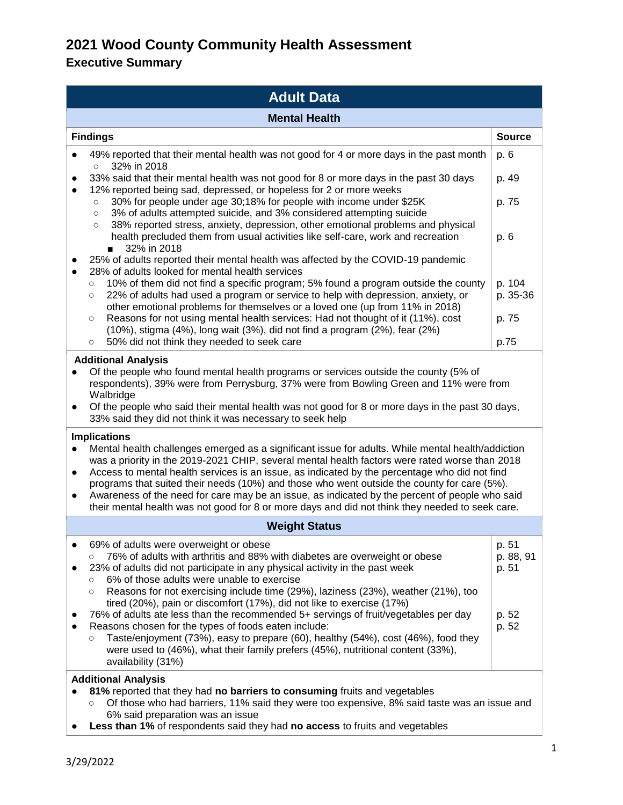| <b>Adult Data</b>                                                                                                                                                                                                                                                                                                                                                                                                                                                                                                                                                                                                                                                                                                                                                                                                                                             |                                                                                                                                                                                                                                                                                                                                                                                                                                                                                                                         |                             |  |  |
|---------------------------------------------------------------------------------------------------------------------------------------------------------------------------------------------------------------------------------------------------------------------------------------------------------------------------------------------------------------------------------------------------------------------------------------------------------------------------------------------------------------------------------------------------------------------------------------------------------------------------------------------------------------------------------------------------------------------------------------------------------------------------------------------------------------------------------------------------------------|-------------------------------------------------------------------------------------------------------------------------------------------------------------------------------------------------------------------------------------------------------------------------------------------------------------------------------------------------------------------------------------------------------------------------------------------------------------------------------------------------------------------------|-----------------------------|--|--|
| <b>Mental Health</b>                                                                                                                                                                                                                                                                                                                                                                                                                                                                                                                                                                                                                                                                                                                                                                                                                                          |                                                                                                                                                                                                                                                                                                                                                                                                                                                                                                                         |                             |  |  |
|                                                                                                                                                                                                                                                                                                                                                                                                                                                                                                                                                                                                                                                                                                                                                                                                                                                               | <b>Findings</b>                                                                                                                                                                                                                                                                                                                                                                                                                                                                                                         | <b>Source</b>               |  |  |
|                                                                                                                                                                                                                                                                                                                                                                                                                                                                                                                                                                                                                                                                                                                                                                                                                                                               | 49% reported that their mental health was not good for 4 or more days in the past month<br>32% in 2018<br>$\circ$                                                                                                                                                                                                                                                                                                                                                                                                       | p. 6                        |  |  |
|                                                                                                                                                                                                                                                                                                                                                                                                                                                                                                                                                                                                                                                                                                                                                                                                                                                               | 33% said that their mental health was not good for 8 or more days in the past 30 days<br>12% reported being sad, depressed, or hopeless for 2 or more weeks                                                                                                                                                                                                                                                                                                                                                             | p. 49                       |  |  |
|                                                                                                                                                                                                                                                                                                                                                                                                                                                                                                                                                                                                                                                                                                                                                                                                                                                               | 30% for people under age 30;18% for people with income under \$25K<br>$\circ$                                                                                                                                                                                                                                                                                                                                                                                                                                           | p. 75                       |  |  |
|                                                                                                                                                                                                                                                                                                                                                                                                                                                                                                                                                                                                                                                                                                                                                                                                                                                               | 3% of adults attempted suicide, and 3% considered attempting suicide<br>$\circ$<br>38% reported stress, anxiety, depression, other emotional problems and physical<br>$\circ$<br>health precluded them from usual activities like self-care, work and recreation<br>32% in 2018<br>$\blacksquare$                                                                                                                                                                                                                       | p. 6                        |  |  |
| $\bullet$                                                                                                                                                                                                                                                                                                                                                                                                                                                                                                                                                                                                                                                                                                                                                                                                                                                     | 25% of adults reported their mental health was affected by the COVID-19 pandemic<br>28% of adults looked for mental health services<br>10% of them did not find a specific program; 5% found a program outside the county<br>$\circ$<br>22% of adults had used a program or service to help with depression, anxiety, or<br>$\circ$<br>other emotional problems for themselves or a loved one (up from 11% in 2018)                                                                                                     | p. 104<br>p. 35-36          |  |  |
|                                                                                                                                                                                                                                                                                                                                                                                                                                                                                                                                                                                                                                                                                                                                                                                                                                                               | Reasons for not using mental health services: Had not thought of it (11%), cost<br>$\circ$<br>$(10%)$ , stigma $(4%)$ , long wait $(3%)$ , did not find a program $(2%)$ , fear $(2%)$<br>50% did not think they needed to seek care<br>$\circ$                                                                                                                                                                                                                                                                         | p. 75<br>p.75               |  |  |
| <b>Additional Analysis</b><br>Of the people who found mental health programs or services outside the county (5% of<br>respondents), 39% were from Perrysburg, 37% were from Bowling Green and 11% were from<br>Walbridge<br>Of the people who said their mental health was not good for 8 or more days in the past 30 days,<br>$\bullet$<br>33% said they did not think it was necessary to seek help<br><b>Implications</b><br>Mental health challenges emerged as a significant issue for adults. While mental health/addiction<br>$\bullet$<br>was a priority in the 2019-2021 CHIP, several mental health factors were rated worse than 2018<br>Access to mental health services is an issue, as indicated by the percentage who did not find<br>$\bullet$<br>programs that suited their needs (10%) and those who went outside the county for care (5%). |                                                                                                                                                                                                                                                                                                                                                                                                                                                                                                                         |                             |  |  |
|                                                                                                                                                                                                                                                                                                                                                                                                                                                                                                                                                                                                                                                                                                                                                                                                                                                               | Awareness of the need for care may be an issue, as indicated by the percent of people who said<br>their mental health was not good for 8 or more days and did not think they needed to seek care.                                                                                                                                                                                                                                                                                                                       |                             |  |  |
| <b>Weight Status</b>                                                                                                                                                                                                                                                                                                                                                                                                                                                                                                                                                                                                                                                                                                                                                                                                                                          |                                                                                                                                                                                                                                                                                                                                                                                                                                                                                                                         |                             |  |  |
|                                                                                                                                                                                                                                                                                                                                                                                                                                                                                                                                                                                                                                                                                                                                                                                                                                                               | 69% of adults were overweight or obese<br>76% of adults with arthritis and 88% with diabetes are overweight or obese<br>O<br>23% of adults did not participate in any physical activity in the past week<br>6% of those adults were unable to exercise<br>$\circ$                                                                                                                                                                                                                                                       | p. 51<br>p. 88, 91<br>p. 51 |  |  |
|                                                                                                                                                                                                                                                                                                                                                                                                                                                                                                                                                                                                                                                                                                                                                                                                                                                               | Reasons for not exercising include time (29%), laziness (23%), weather (21%), too<br>$\circ$<br>tired (20%), pain or discomfort (17%), did not like to exercise (17%)<br>76% of adults ate less than the recommended 5+ servings of fruit/vegetables per day<br>Reasons chosen for the types of foods eaten include:<br>Taste/enjoyment (73%), easy to prepare (60), healthy (54%), cost (46%), food they<br>O<br>were used to (46%), what their family prefers (45%), nutritional content (33%),<br>availability (31%) | p. 52<br>p. 52              |  |  |
|                                                                                                                                                                                                                                                                                                                                                                                                                                                                                                                                                                                                                                                                                                                                                                                                                                                               | <b>Additional Analysis</b><br>81% reported that they had no barriers to consuming fruits and vegetables<br>Of those who had barriers, 11% said they were too expensive, 8% said taste was an issue and<br>O                                                                                                                                                                                                                                                                                                             |                             |  |  |

- 6% said preparation was an issue
- **Less than 1%** of respondents said they had **no access** to fruits and vegetables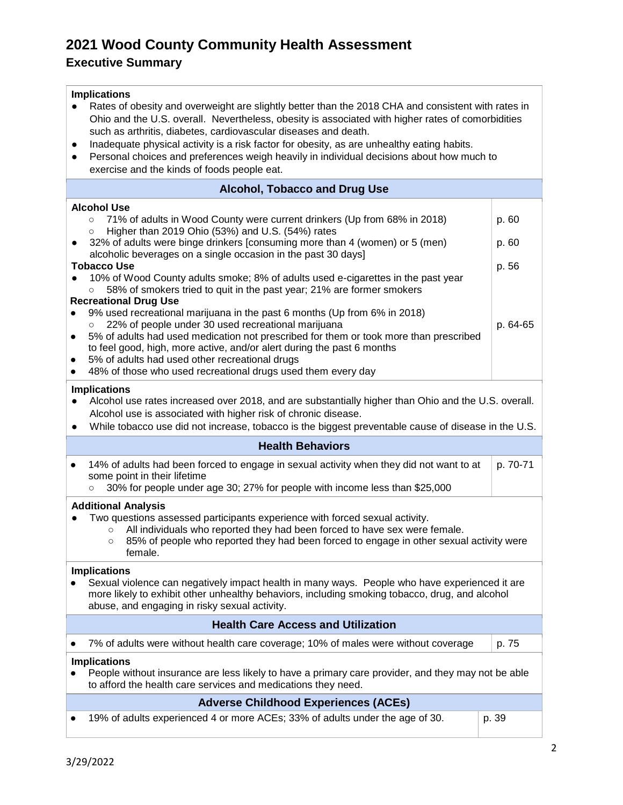| <b>Implications</b><br>Rates of obesity and overweight are slightly better than the 2018 CHA and consistent with rates in<br>Ohio and the U.S. overall. Nevertheless, obesity is associated with higher rates of comorbidities<br>such as arthritis, diabetes, cardiovascular diseases and death.<br>Inadequate physical activity is a risk factor for obesity, as are unhealthy eating habits.<br>Personal choices and preferences weigh heavily in individual decisions about how much to<br>$\bullet$<br>exercise and the kinds of foods people eat. |                                                                                                                                                                                                                                                                            |          |  |
|---------------------------------------------------------------------------------------------------------------------------------------------------------------------------------------------------------------------------------------------------------------------------------------------------------------------------------------------------------------------------------------------------------------------------------------------------------------------------------------------------------------------------------------------------------|----------------------------------------------------------------------------------------------------------------------------------------------------------------------------------------------------------------------------------------------------------------------------|----------|--|
|                                                                                                                                                                                                                                                                                                                                                                                                                                                                                                                                                         | <b>Alcohol, Tobacco and Drug Use</b>                                                                                                                                                                                                                                       |          |  |
|                                                                                                                                                                                                                                                                                                                                                                                                                                                                                                                                                         | <b>Alcohol Use</b>                                                                                                                                                                                                                                                         |          |  |
|                                                                                                                                                                                                                                                                                                                                                                                                                                                                                                                                                         | 71% of adults in Wood County were current drinkers (Up from 68% in 2018)<br>$\circ$<br>Higher than 2019 Ohio (53%) and U.S. (54%) rates<br>$\circ$                                                                                                                         | p. 60    |  |
|                                                                                                                                                                                                                                                                                                                                                                                                                                                                                                                                                         | 32% of adults were binge drinkers [consuming more than 4 (women) or 5 (men)<br>alcoholic beverages on a single occasion in the past 30 days]                                                                                                                               | p. 60    |  |
|                                                                                                                                                                                                                                                                                                                                                                                                                                                                                                                                                         | <b>Tobacco Use</b>                                                                                                                                                                                                                                                         | p. 56    |  |
|                                                                                                                                                                                                                                                                                                                                                                                                                                                                                                                                                         | 10% of Wood County adults smoke; 8% of adults used e-cigarettes in the past year<br>58% of smokers tried to quit in the past year; 21% are former smokers<br>$\circ$                                                                                                       |          |  |
|                                                                                                                                                                                                                                                                                                                                                                                                                                                                                                                                                         | <b>Recreational Drug Use</b>                                                                                                                                                                                                                                               |          |  |
|                                                                                                                                                                                                                                                                                                                                                                                                                                                                                                                                                         | 9% used recreational marijuana in the past 6 months (Up from 6% in 2018)<br>22% of people under 30 used recreational marijuana<br>$\circ$                                                                                                                                  | p. 64-65 |  |
| $\bullet$                                                                                                                                                                                                                                                                                                                                                                                                                                                                                                                                               | 5% of adults had used medication not prescribed for them or took more than prescribed<br>to feel good, high, more active, and/or alert during the past 6 months                                                                                                            |          |  |
|                                                                                                                                                                                                                                                                                                                                                                                                                                                                                                                                                         | 5% of adults had used other recreational drugs                                                                                                                                                                                                                             |          |  |
|                                                                                                                                                                                                                                                                                                                                                                                                                                                                                                                                                         | 48% of those who used recreational drugs used them every day                                                                                                                                                                                                               |          |  |
| <b>Implications</b><br>Alcohol use rates increased over 2018, and are substantially higher than Ohio and the U.S. overall.<br>Alcohol use is associated with higher risk of chronic disease.<br>While tobacco use did not increase, tobacco is the biggest preventable cause of disease in the U.S.                                                                                                                                                                                                                                                     |                                                                                                                                                                                                                                                                            |          |  |
| <b>Health Behaviors</b>                                                                                                                                                                                                                                                                                                                                                                                                                                                                                                                                 |                                                                                                                                                                                                                                                                            |          |  |
| $\bullet$                                                                                                                                                                                                                                                                                                                                                                                                                                                                                                                                               | 14% of adults had been forced to engage in sexual activity when they did not want to at<br>some point in their lifetime<br>30% for people under age 30; 27% for people with income less than \$25,000<br>$\circ$                                                           | p. 70-71 |  |
|                                                                                                                                                                                                                                                                                                                                                                                                                                                                                                                                                         | <b>Additional Analysis</b>                                                                                                                                                                                                                                                 |          |  |
|                                                                                                                                                                                                                                                                                                                                                                                                                                                                                                                                                         | Two questions assessed participants experience with forced sexual activity.<br>All individuals who reported they had been forced to have sex were female.<br>$\circ$<br>85% of people who reported they had been forced to engage in other sexual activity were<br>female. |          |  |
|                                                                                                                                                                                                                                                                                                                                                                                                                                                                                                                                                         | <b>Implications</b>                                                                                                                                                                                                                                                        |          |  |
|                                                                                                                                                                                                                                                                                                                                                                                                                                                                                                                                                         | Sexual violence can negatively impact health in many ways. People who have experienced it are<br>more likely to exhibit other unhealthy behaviors, including smoking tobacco, drug, and alcohol<br>abuse, and engaging in risky sexual activity.                           |          |  |
|                                                                                                                                                                                                                                                                                                                                                                                                                                                                                                                                                         | <b>Health Care Access and Utilization</b>                                                                                                                                                                                                                                  |          |  |
|                                                                                                                                                                                                                                                                                                                                                                                                                                                                                                                                                         | 7% of adults were without health care coverage; 10% of males were without coverage                                                                                                                                                                                         | p. 75    |  |
| <b>Implications</b><br>People without insurance are less likely to have a primary care provider, and they may not be able<br>to afford the health care services and medications they need.                                                                                                                                                                                                                                                                                                                                                              |                                                                                                                                                                                                                                                                            |          |  |
|                                                                                                                                                                                                                                                                                                                                                                                                                                                                                                                                                         | <b>Adverse Childhood Experiences (ACEs)</b>                                                                                                                                                                                                                                |          |  |
|                                                                                                                                                                                                                                                                                                                                                                                                                                                                                                                                                         | 19% of adults experienced 4 or more ACEs; 33% of adults under the age of 30.                                                                                                                                                                                               | p. 39    |  |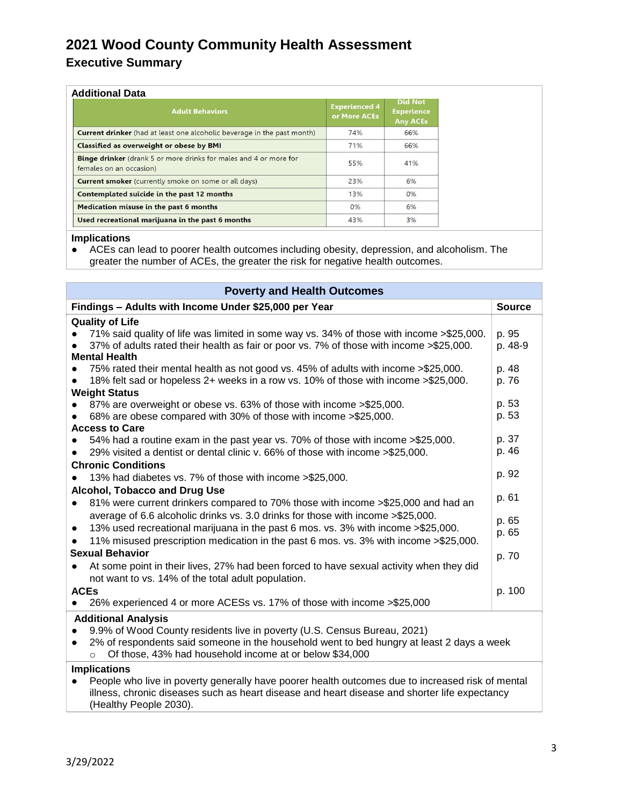# **Executive Summary**

|  | Additional Data |
|--|-----------------|
|  |                 |

| <b>Adult Behaviors</b>                                                                              | <b>Experienced 4</b><br>or More ACEs | <b>Did Not</b><br><b>Experience</b><br><b>Any ACEs</b> |
|-----------------------------------------------------------------------------------------------------|--------------------------------------|--------------------------------------------------------|
| <b>Current drinker</b> (had at least one alcoholic beverage in the past month)                      | 74%                                  | 66%                                                    |
| <b>Classified as overweight or obese by BMI</b>                                                     | 71%                                  | 66%                                                    |
| <b>Binge drinker</b> (drank 5 or more drinks for males and 4 or more for<br>females on an occasion) | 55%                                  | 41%                                                    |
| <b>Current smoker</b> (currently smoke on some or all days)                                         | 23%                                  | 6%                                                     |
| Contemplated suicide in the past 12 months                                                          | 13%                                  | 0%                                                     |
| Medication misuse in the past 6 months                                                              | 0%                                   | 6%                                                     |
| Used recreational marijuana in the past 6 months                                                    | 43%                                  | 3%                                                     |

#### **Implications**

● ACEs can lead to poorer health outcomes including obesity, depression, and alcoholism. The greater the number of ACEs, the greater the risk for negative health outcomes.

| <b>Poverty and Health Outcomes</b>                                                                                                                                                                                                                       |                                                                                                                                                                                                                                                    |                  |  |  |
|----------------------------------------------------------------------------------------------------------------------------------------------------------------------------------------------------------------------------------------------------------|----------------------------------------------------------------------------------------------------------------------------------------------------------------------------------------------------------------------------------------------------|------------------|--|--|
| Findings - Adults with Income Under \$25,000 per Year                                                                                                                                                                                                    |                                                                                                                                                                                                                                                    |                  |  |  |
|                                                                                                                                                                                                                                                          | <b>Quality of Life</b>                                                                                                                                                                                                                             |                  |  |  |
|                                                                                                                                                                                                                                                          | 71% said quality of life was limited in some way vs. 34% of those with income > \$25,000.<br>37% of adults rated their health as fair or poor vs. 7% of those with income >\$25,000.<br><b>Mental Health</b>                                       | p. 95<br>p. 48-9 |  |  |
|                                                                                                                                                                                                                                                          | 75% rated their mental health as not good vs. 45% of adults with income >\$25,000.<br>18% felt sad or hopeless 2+ weeks in a row vs. 10% of those with income >\$25,000.<br><b>Weight Status</b>                                                   | p. 48<br>p. 76   |  |  |
|                                                                                                                                                                                                                                                          | 87% are overweight or obese vs. 63% of those with income > \$25,000.<br>68% are obese compared with 30% of those with income > \$25,000.<br><b>Access to Care</b>                                                                                  | p. 53<br>p. 53   |  |  |
| $\bullet$                                                                                                                                                                                                                                                | 54% had a routine exam in the past year vs. 70% of those with income >\$25,000.<br>29% visited a dentist or dental clinic v. 66% of those with income > \$25,000.                                                                                  | p. 37<br>p. 46   |  |  |
|                                                                                                                                                                                                                                                          | <b>Chronic Conditions</b><br>13% had diabetes vs. 7% of those with income >\$25,000.<br>Alcohol, Tobacco and Drug Use                                                                                                                              | p. 92            |  |  |
| $\bullet$                                                                                                                                                                                                                                                | 81% were current drinkers compared to 70% those with income >\$25,000 and had an<br>average of 6.6 alcoholic drinks vs. 3.0 drinks for those with income > \$25,000.                                                                               | p. 61            |  |  |
| $\bullet$                                                                                                                                                                                                                                                | 13% used recreational marijuana in the past 6 mos. vs. 3% with income > \$25,000.<br>11% misused prescription medication in the past 6 mos. vs. 3% with income > \$25,000.                                                                         | p. 65<br>p. 65   |  |  |
| $\bullet$                                                                                                                                                                                                                                                | <b>Sexual Behavior</b><br>At some point in their lives, 27% had been forced to have sexual activity when they did<br>not want to vs. 14% of the total adult population.                                                                            | p. 70            |  |  |
|                                                                                                                                                                                                                                                          | <b>ACEs</b><br>26% experienced 4 or more ACESs vs. 17% of those with income > \$25,000                                                                                                                                                             | p. 100           |  |  |
| <b>Additional Analysis</b>                                                                                                                                                                                                                               |                                                                                                                                                                                                                                                    |                  |  |  |
| 9.9% of Wood County residents live in poverty (U.S. Census Bureau, 2021)<br>2% of respondents said someone in the household went to bed hungry at least 2 days a week<br>$\bullet$<br>Of those, 43% had household income at or below \$34,000<br>$\circ$ |                                                                                                                                                                                                                                                    |                  |  |  |
|                                                                                                                                                                                                                                                          | <b>Implications</b><br>People who live in poverty generally have poorer health outcomes due to increased risk of mental<br>illness, chronic diseases such as heart disease and heart disease and shorter life expectancy<br>(Healthy People 2030). |                  |  |  |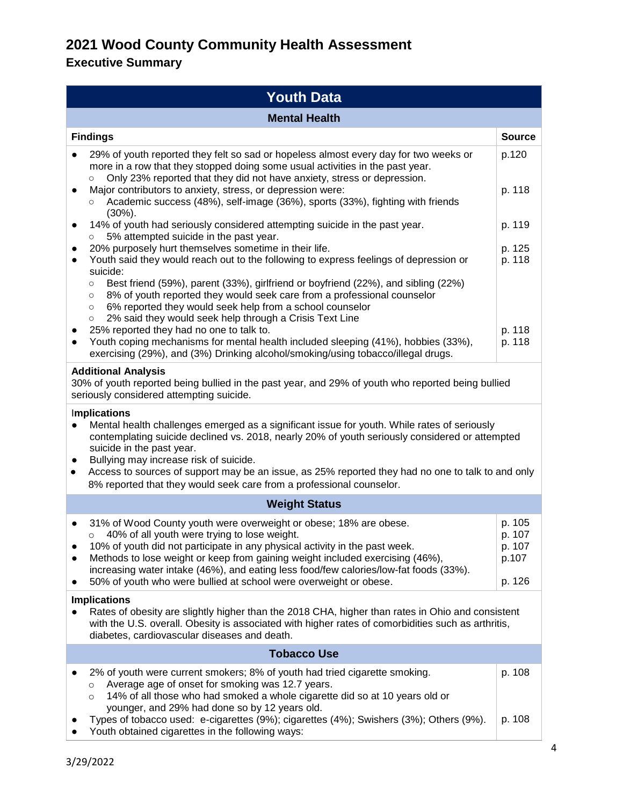| <b>Youth Data</b>                                                                                                                                                                                                                                                                                                                                                                                                                                                                                                                                                                                                                                                                                                                            |                                               |  |  |
|----------------------------------------------------------------------------------------------------------------------------------------------------------------------------------------------------------------------------------------------------------------------------------------------------------------------------------------------------------------------------------------------------------------------------------------------------------------------------------------------------------------------------------------------------------------------------------------------------------------------------------------------------------------------------------------------------------------------------------------------|-----------------------------------------------|--|--|
| <b>Mental Health</b>                                                                                                                                                                                                                                                                                                                                                                                                                                                                                                                                                                                                                                                                                                                         |                                               |  |  |
| <b>Findings</b>                                                                                                                                                                                                                                                                                                                                                                                                                                                                                                                                                                                                                                                                                                                              | <b>Source</b>                                 |  |  |
| 29% of youth reported they felt so sad or hopeless almost every day for two weeks or<br>more in a row that they stopped doing some usual activities in the past year.<br>Only 23% reported that they did not have anxiety, stress or depression.<br>$\circ$<br>Major contributors to anxiety, stress, or depression were:<br>Academic success (48%), self-image (36%), sports (33%), fighting with friends<br>$\circ$                                                                                                                                                                                                                                                                                                                        | p.120<br>p. 118                               |  |  |
| $(30\%)$ .<br>14% of youth had seriously considered attempting suicide in the past year.<br>$\bullet$<br>5% attempted suicide in the past year.<br>$\circ$                                                                                                                                                                                                                                                                                                                                                                                                                                                                                                                                                                                   | p. 119                                        |  |  |
| 20% purposely hurt themselves sometime in their life.<br>Youth said they would reach out to the following to express feelings of depression or<br>$\bullet$<br>suicide:<br>Best friend (59%), parent (33%), girlfriend or boyfriend (22%), and sibling (22%)<br>$\circ$<br>8% of youth reported they would seek care from a professional counselor<br>$\circ$<br>6% reported they would seek help from a school counselor<br>$\circ$<br>2% said they would seek help through a Crisis Text Line<br>$\circ$<br>25% reported they had no one to talk to.<br>Youth coping mechanisms for mental health included sleeping (41%), hobbies (33%),<br>$\bullet$<br>exercising (29%), and (3%) Drinking alcohol/smoking/using tobacco/illegal drugs. | p. 125<br>p. 118<br>p. 118<br>p. 118          |  |  |
| <b>Additional Analysis</b><br>30% of youth reported being bullied in the past year, and 29% of youth who reported being bullied<br>seriously considered attempting suicide.                                                                                                                                                                                                                                                                                                                                                                                                                                                                                                                                                                  |                                               |  |  |
| <b>Implications</b><br>Mental health challenges emerged as a significant issue for youth. While rates of seriously<br>contemplating suicide declined vs. 2018, nearly 20% of youth seriously considered or attempted<br>suicide in the past year.<br>Bullying may increase risk of suicide.<br>Access to sources of support may be an issue, as 25% reported they had no one to talk to and only<br>$\bullet$<br>8% reported that they would seek care from a professional counselor.                                                                                                                                                                                                                                                        |                                               |  |  |
| <b>Weight Status</b>                                                                                                                                                                                                                                                                                                                                                                                                                                                                                                                                                                                                                                                                                                                         |                                               |  |  |
| 31% of Wood County youth were overweight or obese; 18% are obese.<br>$\bullet$<br>40% of all youth were trying to lose weight.<br>$\circ$<br>10% of youth did not participate in any physical activity in the past week.<br>Methods to lose weight or keep from gaining weight included exercising (46%),<br>increasing water intake (46%), and eating less food/few calories/low-fat foods (33%).<br>50% of youth who were bullied at school were overweight or obese.                                                                                                                                                                                                                                                                      | p. 105<br>p. 107<br>p. 107<br>p.107<br>p. 126 |  |  |
| <b>Implications</b><br>Rates of obesity are slightly higher than the 2018 CHA, higher than rates in Ohio and consistent<br>with the U.S. overall. Obesity is associated with higher rates of comorbidities such as arthritis,<br>diabetes, cardiovascular diseases and death.                                                                                                                                                                                                                                                                                                                                                                                                                                                                |                                               |  |  |
| <b>Tobacco Use</b>                                                                                                                                                                                                                                                                                                                                                                                                                                                                                                                                                                                                                                                                                                                           |                                               |  |  |
| 2% of youth were current smokers; 8% of youth had tried cigarette smoking.<br>Average age of onset for smoking was 12.7 years.<br>$\circ$<br>14% of all those who had smoked a whole cigarette did so at 10 years old or<br>O<br>younger, and 29% had done so by 12 years old.<br>Types of tobacco used: e-cigarettes (9%); cigarettes (4%); Swishers (3%); Others (9%).<br>Youth obtained cigarettes in the following ways:                                                                                                                                                                                                                                                                                                                 | p. 108<br>p. 108                              |  |  |
|                                                                                                                                                                                                                                                                                                                                                                                                                                                                                                                                                                                                                                                                                                                                              |                                               |  |  |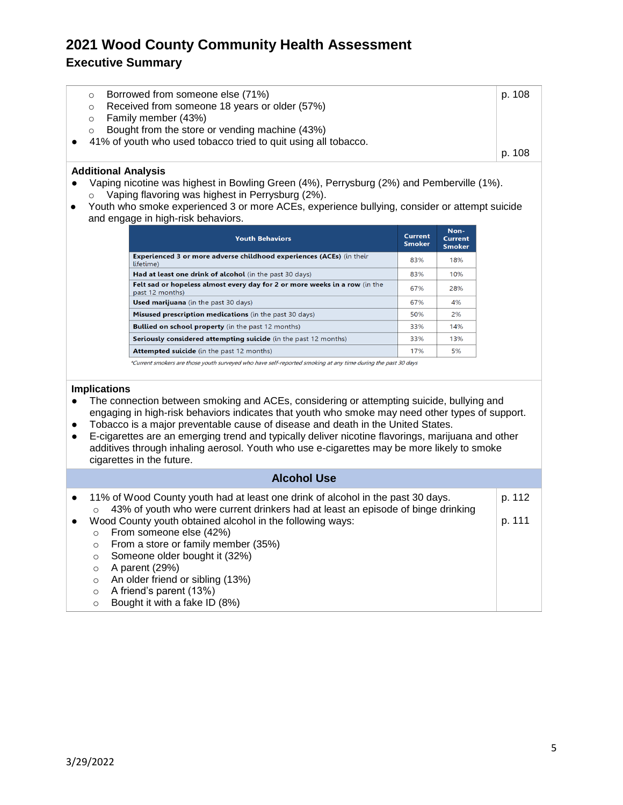### **Executive Summary**

|         | Borrowed from someone else (71%) | p. 108                                                                                                                                                                                     |
|---------|----------------------------------|--------------------------------------------------------------------------------------------------------------------------------------------------------------------------------------------|
| $\circ$ |                                  |                                                                                                                                                                                            |
|         |                                  |                                                                                                                                                                                            |
| $\circ$ |                                  |                                                                                                                                                                                            |
|         |                                  |                                                                                                                                                                                            |
|         |                                  | p. 108                                                                                                                                                                                     |
|         |                                  | Received from someone 18 years or older (57%)<br>Family member (43%)<br>Bought from the store or vending machine (43%)<br>• 41% of youth who used tobacco tried to quit using all tobacco. |

#### **Additional Analysis**

- Vaping nicotine was highest in Bowling Green (4%), Perrysburg (2%) and Pemberville (1%). o Vaping flavoring was highest in Perrysburg (2%).
- Youth who smoke experienced 3 or more ACEs, experience bullying, consider or attempt suicide and engage in high-risk behaviors.

| <b>Youth Behaviors</b>                                                                        | <b>Current</b><br><b>Smoker</b> | Non-<br><b>Current</b><br><b>Smoker</b> |
|-----------------------------------------------------------------------------------------------|---------------------------------|-----------------------------------------|
| <b>Experienced 3 or more adverse childhood experiences (ACEs)</b> (in their<br>lifetime)      | 83%                             | 18%                                     |
| Had at least one drink of alcohol (in the past 30 days)                                       | 83%                             | 10%                                     |
| Felt sad or hopeless almost every day for 2 or more weeks in a row (in the<br>past 12 months) | 67%                             | 28%                                     |
| <b>Used marijuana</b> (in the past 30 days)                                                   | 67%                             | 4%                                      |
| Misused prescription medications (in the past 30 days)                                        | 50%                             | 2%                                      |
| <b>Bullied on school property</b> (in the past 12 months)                                     | 33%                             | 14%                                     |
| Seriously considered attempting suicide (in the past 12 months)                               | 33%                             | 13%                                     |
| <b>Attempted suicide</b> (in the past 12 months)                                              | 17%                             | 5%                                      |

\*Current smokers are those youth surveyed who have self-reported smoking at any time during the past 30 days

#### **Implications**

- The connection between smoking and ACEs, considering or attempting suicide, bullying and engaging in high-risk behaviors indicates that youth who smoke may need other types of support.
- Tobacco is a major preventable cause of disease and death in the United States.
- E-cigarettes are an emerging trend and typically deliver nicotine flavorings, marijuana and other additives through inhaling aerosol. Youth who use e-cigarettes may be more likely to smoke cigarettes in the future.

|           | <b>Alcohol Use</b> |                                                                                                                                                                     |        |  |  |
|-----------|--------------------|---------------------------------------------------------------------------------------------------------------------------------------------------------------------|--------|--|--|
| $\bullet$ | $\circ$            | 11% of Wood County youth had at least one drink of alcohol in the past 30 days.<br>43% of youth who were current drinkers had at least an episode of binge drinking | p. 112 |  |  |
| $\bullet$ |                    | Wood County youth obtained alcohol in the following ways:                                                                                                           | p. 111 |  |  |
|           | $\circ$            | From someone else (42%)                                                                                                                                             |        |  |  |
|           | $\circ$            | From a store or family member (35%)                                                                                                                                 |        |  |  |
|           | $\circ$            | Someone older bought it (32%)                                                                                                                                       |        |  |  |
|           | $\circ$            | A parent (29%)                                                                                                                                                      |        |  |  |
|           | $\circ$            | An older friend or sibling (13%)                                                                                                                                    |        |  |  |
|           | $\circ$            | A friend's parent (13%)                                                                                                                                             |        |  |  |
|           | $\circ$            | Bought it with a fake ID (8%)                                                                                                                                       |        |  |  |
|           |                    |                                                                                                                                                                     |        |  |  |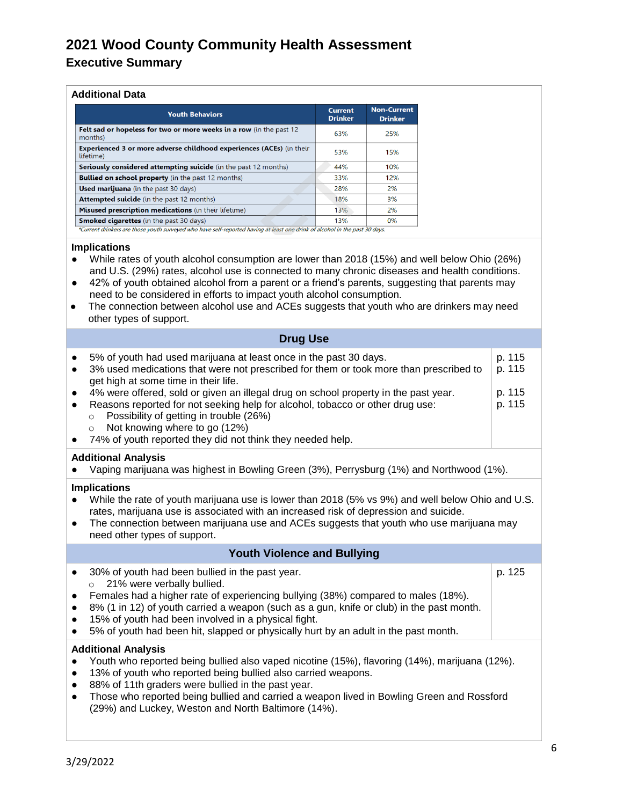#### **Executive Summary**

#### **Additional Data**

| <b>Youth Behaviors</b>                                                                   | <b>Current</b><br><b>Drinker</b> | <b>Non-Current</b><br><b>Drinker</b> |
|------------------------------------------------------------------------------------------|----------------------------------|--------------------------------------|
| Felt sad or hopeless for two or more weeks in a row (in the past 12<br>months)           | 63%                              | 25%                                  |
| <b>Experienced 3 or more adverse childhood experiences (ACEs)</b> (in their<br>lifetime) | 53%                              | 15%                                  |
| <b>Seriously considered attempting suicide</b> (in the past 12 months)                   | 44%                              | 10%                                  |
| <b>Bullied on school property</b> (in the past 12 months)                                | 33%                              | 12%                                  |
| <b>Used marijuana</b> (in the past 30 days)                                              | 28%                              | 2%                                   |
| <b>Attempted suicide</b> (in the past 12 months)                                         | 18%                              | 3%                                   |
| Misused prescription medications (in their lifetime)                                     | 13%                              | 2%                                   |
| <b>Smoked cigarettes</b> (in the past 30 days)                                           | 13%                              | 0%                                   |

#### **Implications**

- While rates of youth alcohol consumption are lower than 2018 (15%) and well below Ohio (26%) and U.S. (29%) rates, alcohol use is connected to many chronic diseases and health conditions.
- 42% of youth obtained alcohol from a parent or a friend's parents, suggesting that parents may need to be considered in efforts to impact youth alcohol consumption.
- The connection between alcohol use and ACEs suggests that youth who are drinkers may need other types of support.

| <b>Drug Use</b> |
|-----------------|
|-----------------|

| $\bullet$<br>$\bullet$ | 5% of youth had used marijuana at least once in the past 30 days.<br>3% used medications that were not prescribed for them or took more than prescribed to<br>get high at some time in their life.                                                                                                                                   | p. 115<br>p. 115 |
|------------------------|--------------------------------------------------------------------------------------------------------------------------------------------------------------------------------------------------------------------------------------------------------------------------------------------------------------------------------------|------------------|
| $\bullet$<br>$\bullet$ | 4% were offered, sold or given an illegal drug on school property in the past year.<br>Reasons reported for not seeking help for alcohol, tobacco or other drug use:<br>Possibility of getting in trouble (26%)<br>$\circ$<br>Not knowing where to go (12%)<br>$\circ$<br>74% of youth reported they did not think they needed help. | p. 115<br>p. 115 |

#### **Additional Analysis**

Vaping marijuana was highest in Bowling Green (3%), Perrysburg (1%) and Northwood (1%).

#### **Implications**

- While the rate of youth marijuana use is lower than 2018 (5% vs 9%) and well below Ohio and U.S. rates, marijuana use is associated with an increased risk of depression and suicide.
- The connection between marijuana use and ACEs suggests that youth who use marijuana may need other types of support.

### **Youth Violence and Bullying**

● 30% of youth had been bullied in the past year. o 21% were verbally bullied.

p. 125

- Females had a higher rate of experiencing bullying (38%) compared to males (18%).
- 8% (1 in 12) of youth carried a weapon (such as a gun, knife or club) in the past month.
- 15% of youth had been involved in a physical fight.
- 5% of youth had been hit, slapped or physically hurt by an adult in the past month.

#### **Additional Analysis**

- Youth who reported being bullied also vaped nicotine (15%), flavoring (14%), marijuana (12%).
- 13% of youth who reported being bullied also carried weapons.
- 88% of 11th graders were bullied in the past year.
- Those who reported being bullied and carried a weapon lived in Bowling Green and Rossford (29%) and Luckey, Weston and North Baltimore (14%).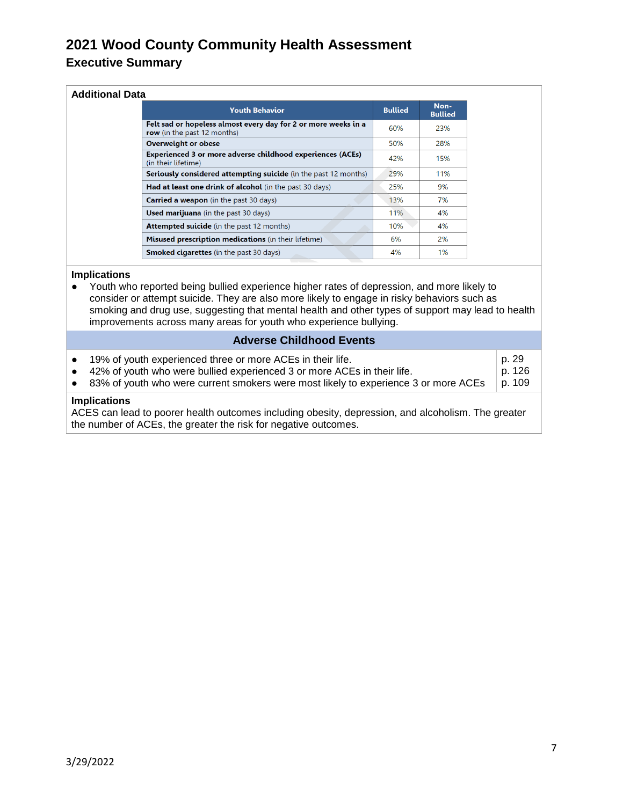### **2021 Wood County Community Health Assessment Executive Summary**

| <b>Additional Data</b> |                                                                                               |                |                        |  |  |  |  |
|------------------------|-----------------------------------------------------------------------------------------------|----------------|------------------------|--|--|--|--|
|                        | <b>Youth Behavior</b>                                                                         | <b>Bullied</b> | Non-<br><b>Bullied</b> |  |  |  |  |
|                        | Felt sad or hopeless almost every day for 2 or more weeks in a<br>row (in the past 12 months) | 60%            | 23%                    |  |  |  |  |
|                        | <b>Overweight or obese</b>                                                                    | 50%            | 28%                    |  |  |  |  |
|                        | <b>Experienced 3 or more adverse childhood experiences (ACEs)</b><br>(in their lifetime)      | 42%            | 15%                    |  |  |  |  |
|                        | <b>Seriously considered attempting suicide</b> (in the past 12 months)                        | 29%            | 11%                    |  |  |  |  |
|                        | Had at least one drink of alcohol (in the past 30 days)                                       | 25%            | 9%                     |  |  |  |  |
|                        | <b>Carried a weapon</b> (in the past 30 days)                                                 | 13%            | 7%                     |  |  |  |  |
|                        | <b>Used marijuana</b> (in the past 30 days)                                                   | 11%            | 4%                     |  |  |  |  |
|                        | <b>Attempted suicide</b> (in the past 12 months)                                              | 10%            | 4%                     |  |  |  |  |
|                        | Misused prescription medications (in their lifetime)                                          | 6%             | 2%                     |  |  |  |  |
|                        | <b>Smoked cigarettes</b> (in the past 30 days)                                                | 4%             | 1%                     |  |  |  |  |

#### **Implications**

● Youth who reported being bullied experience higher rates of depression, and more likely to consider or attempt suicide. They are also more likely to engage in risky behaviors such as smoking and drug use, suggesting that mental health and other types of support may lead to health improvements across many areas for youth who experience bullying.

#### **Adverse Childhood Events**

| $\bullet$<br>$\bullet$                                                                                                                                                                       | 19% of youth experienced three or more ACEs in their life.<br>42% of youth who were bullied experienced 3 or more ACEs in their life.<br>• 83% of youth who were current smokers were most likely to experience 3 or more ACEs | p. 29<br>p. 126<br>p. 109 |  |  |  |  |
|----------------------------------------------------------------------------------------------------------------------------------------------------------------------------------------------|--------------------------------------------------------------------------------------------------------------------------------------------------------------------------------------------------------------------------------|---------------------------|--|--|--|--|
| <b>Implications</b><br>ACES can lead to poorer health outcomes including obesity, depression, and alcoholism. The greater<br>the number of ACEs, the greater the risk for negative outcomes. |                                                                                                                                                                                                                                |                           |  |  |  |  |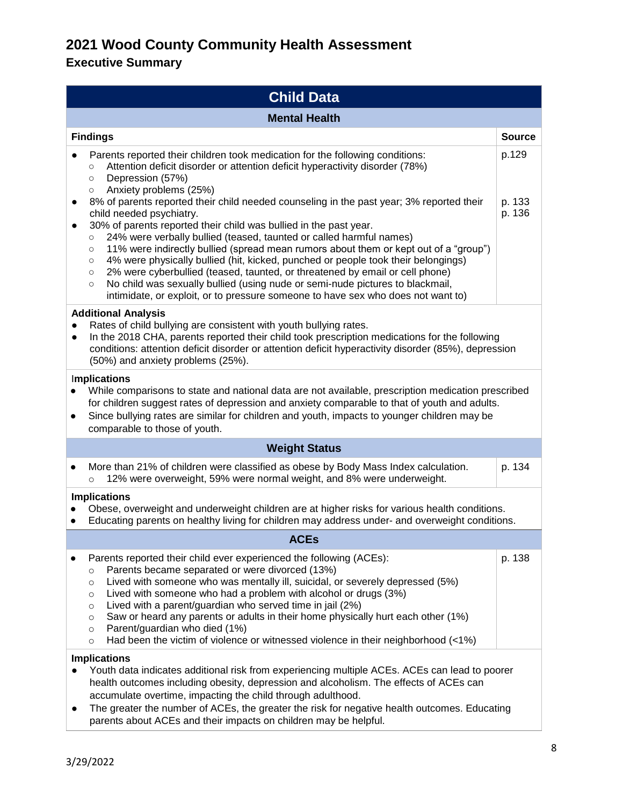| <b>Child Data</b>                                                                                                                                                                                                                                                                                                                                                                                                                                                                                                                                                                                                                                                                                                                                                                                                                                                                                                                                                                                         |                           |  |  |  |  |  |
|-----------------------------------------------------------------------------------------------------------------------------------------------------------------------------------------------------------------------------------------------------------------------------------------------------------------------------------------------------------------------------------------------------------------------------------------------------------------------------------------------------------------------------------------------------------------------------------------------------------------------------------------------------------------------------------------------------------------------------------------------------------------------------------------------------------------------------------------------------------------------------------------------------------------------------------------------------------------------------------------------------------|---------------------------|--|--|--|--|--|
| <b>Mental Health</b>                                                                                                                                                                                                                                                                                                                                                                                                                                                                                                                                                                                                                                                                                                                                                                                                                                                                                                                                                                                      |                           |  |  |  |  |  |
| <b>Findings</b>                                                                                                                                                                                                                                                                                                                                                                                                                                                                                                                                                                                                                                                                                                                                                                                                                                                                                                                                                                                           | <b>Source</b>             |  |  |  |  |  |
| Parents reported their children took medication for the following conditions:<br>Attention deficit disorder or attention deficit hyperactivity disorder (78%)<br>$\circ$<br>Depression (57%)<br>$\circ$<br>Anxiety problems (25%)<br>$\circ$<br>8% of parents reported their child needed counseling in the past year; 3% reported their<br>child needed psychiatry.<br>30% of parents reported their child was bullied in the past year.<br>24% were verbally bullied (teased, taunted or called harmful names)<br>$\circ$<br>11% were indirectly bullied (spread mean rumors about them or kept out of a "group")<br>$\circ$<br>4% were physically bullied (hit, kicked, punched or people took their belongings)<br>$\circ$<br>2% were cyberbullied (teased, taunted, or threatened by email or cell phone)<br>$\circ$<br>No child was sexually bullied (using nude or semi-nude pictures to blackmail,<br>$\circ$<br>intimidate, or exploit, or to pressure someone to have sex who does not want to) | p.129<br>p. 133<br>p. 136 |  |  |  |  |  |
| <b>Additional Analysis</b><br>Rates of child bullying are consistent with youth bullying rates.<br>In the 2018 CHA, parents reported their child took prescription medications for the following<br>$\bullet$<br>conditions: attention deficit disorder or attention deficit hyperactivity disorder (85%), depression<br>(50%) and anxiety problems (25%).                                                                                                                                                                                                                                                                                                                                                                                                                                                                                                                                                                                                                                                |                           |  |  |  |  |  |
| Implications<br>While comparisons to state and national data are not available, prescription medication prescribed<br>for children suggest rates of depression and anxiety comparable to that of youth and adults.<br>Since bullying rates are similar for children and youth, impacts to younger children may be<br>$\bullet$<br>comparable to those of youth.                                                                                                                                                                                                                                                                                                                                                                                                                                                                                                                                                                                                                                           |                           |  |  |  |  |  |
| <b>Weight Status</b>                                                                                                                                                                                                                                                                                                                                                                                                                                                                                                                                                                                                                                                                                                                                                                                                                                                                                                                                                                                      |                           |  |  |  |  |  |
| More than 21% of children were classified as obese by Body Mass Index calculation.<br>٠<br>12% were overweight, 59% were normal weight, and 8% were underweight.<br>$\circ$                                                                                                                                                                                                                                                                                                                                                                                                                                                                                                                                                                                                                                                                                                                                                                                                                               | p. 134                    |  |  |  |  |  |
| <b>Implications</b><br>Obese, overweight and underweight children are at higher risks for various health conditions.<br>Educating parents on healthy living for children may address under- and overweight conditions.<br>$\bullet$                                                                                                                                                                                                                                                                                                                                                                                                                                                                                                                                                                                                                                                                                                                                                                       |                           |  |  |  |  |  |
| <b>ACEs</b>                                                                                                                                                                                                                                                                                                                                                                                                                                                                                                                                                                                                                                                                                                                                                                                                                                                                                                                                                                                               |                           |  |  |  |  |  |
| Parents reported their child ever experienced the following (ACEs):<br>$\bullet$<br>Parents became separated or were divorced (13%)<br>$\circ$<br>Lived with someone who was mentally ill, suicidal, or severely depressed (5%)<br>$\circ$<br>Lived with someone who had a problem with alcohol or drugs (3%)<br>$\circ$<br>Lived with a parent/guardian who served time in jail (2%)<br>$\circ$<br>Saw or heard any parents or adults in their home physically hurt each other (1%)<br>$\circ$<br>Parent/guardian who died (1%)<br>$\circ$<br>Had been the victim of violence or witnessed violence in their neighborhood $\left($ <1%)<br>$\circ$                                                                                                                                                                                                                                                                                                                                                       | p. 138                    |  |  |  |  |  |
| <b>Implications</b><br>Youth data indicates additional risk from experiencing multiple ACEs. ACEs can lead to poorer<br>health outcomes including obesity, depression and alcoholism. The effects of ACEs can<br>accumulate overtime, impacting the child through adulthood.<br>The greater the number of ACEs, the greater the risk for negative health outcomes. Educating<br>parents about ACEs and their impacts on children may be helpful.                                                                                                                                                                                                                                                                                                                                                                                                                                                                                                                                                          |                           |  |  |  |  |  |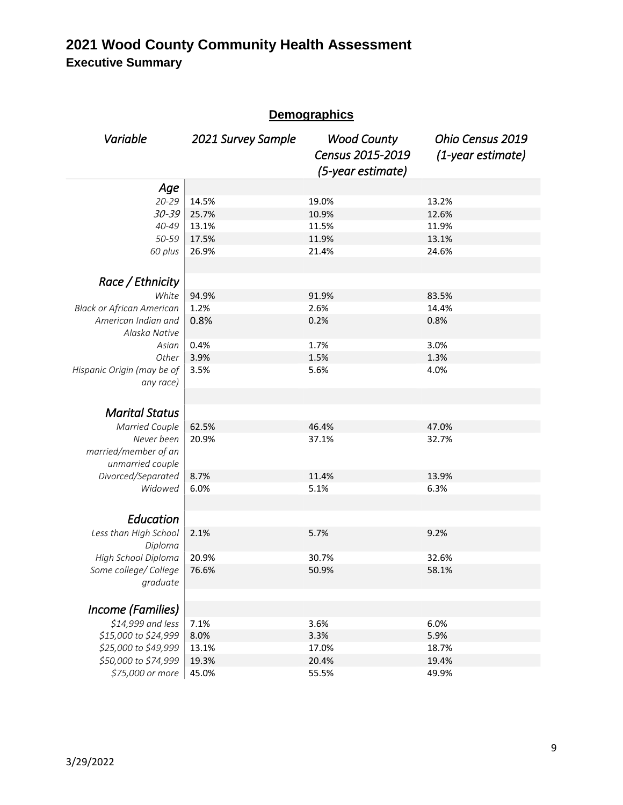### **2021 Wood County Community Health Assessment Executive Summary**

| <b>Demographics</b>                      |                    |                                                             |                                       |  |  |  |  |
|------------------------------------------|--------------------|-------------------------------------------------------------|---------------------------------------|--|--|--|--|
| Variable                                 | 2021 Survey Sample | <b>Wood County</b><br>Census 2015-2019<br>(5-year estimate) | Ohio Census 2019<br>(1-year estimate) |  |  |  |  |
| Age                                      |                    |                                                             |                                       |  |  |  |  |
| $20 - 29$                                | 14.5%              | 19.0%                                                       | 13.2%                                 |  |  |  |  |
| $30 - 39$                                | 25.7%              | 10.9%                                                       | 12.6%                                 |  |  |  |  |
| 40-49                                    | 13.1%              | 11.5%                                                       | 11.9%                                 |  |  |  |  |
| 50-59                                    | 17.5%              | 11.9%                                                       | 13.1%                                 |  |  |  |  |
| 60 plus                                  | 26.9%              | 21.4%                                                       | 24.6%                                 |  |  |  |  |
| Race / Ethnicity                         |                    |                                                             |                                       |  |  |  |  |
| White                                    | 94.9%              | 91.9%                                                       | 83.5%                                 |  |  |  |  |
| <b>Black or African American</b>         | 1.2%               | 2.6%                                                        | 14.4%                                 |  |  |  |  |
| American Indian and<br>Alaska Native     | 0.8%               | 0.2%                                                        | 0.8%                                  |  |  |  |  |
| Asian                                    | 0.4%               | 1.7%                                                        | 3.0%                                  |  |  |  |  |
| Other                                    | 3.9%               | 1.5%                                                        | 1.3%                                  |  |  |  |  |
| Hispanic Origin (may be of<br>any race)  | 3.5%               | 5.6%                                                        | 4.0%                                  |  |  |  |  |
| <b>Marital Status</b>                    |                    |                                                             |                                       |  |  |  |  |
| <b>Married Couple</b>                    | 62.5%              | 46.4%                                                       | 47.0%                                 |  |  |  |  |
| Never been                               | 20.9%              | 37.1%                                                       | 32.7%                                 |  |  |  |  |
| married/member of an<br>unmarried couple |                    |                                                             |                                       |  |  |  |  |
| Divorced/Separated                       | 8.7%               | 11.4%                                                       | 13.9%                                 |  |  |  |  |
| Widowed                                  | 6.0%               | 5.1%                                                        | 6.3%                                  |  |  |  |  |
| Education                                |                    |                                                             |                                       |  |  |  |  |
| Less than High School<br>Diploma         | 2.1%               | 5.7%                                                        | 9.2%                                  |  |  |  |  |
| High School Diploma                      | 20.9%              | 30.7%                                                       | 32.6%                                 |  |  |  |  |
| Some college/ College<br>graduate        | 76.6%              | 50.9%                                                       | 58.1%                                 |  |  |  |  |
| Income (Families)                        |                    |                                                             |                                       |  |  |  |  |
| \$14,999 and less                        | 7.1%               | 3.6%                                                        | 6.0%                                  |  |  |  |  |
| \$15,000 to \$24,999                     | 8.0%               | 3.3%                                                        | 5.9%                                  |  |  |  |  |
| \$25,000 to \$49,999                     | 13.1%              | 17.0%                                                       | 18.7%                                 |  |  |  |  |
| \$50,000 to \$74,999                     | 19.3%              | 20.4%                                                       | 19.4%                                 |  |  |  |  |
| \$75,000 or more                         | 45.0%              | 55.5%                                                       | 49.9%                                 |  |  |  |  |